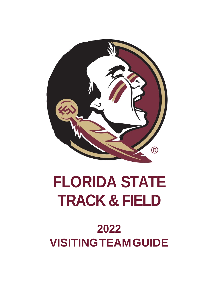

# **FLORIDA STATE TRACK & FIELD**

## **2022 VISITINGTEAMGUIDE**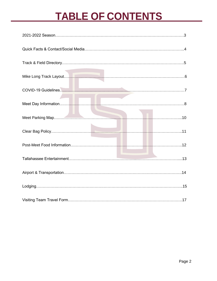## **TABLE OF CONTENTS**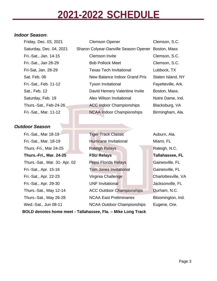### **2021-2022 SCHEDULE**

#### *Indoor Season***:**

#### *Outdoor Season*:

Friday, Dec. 03, 2021 Clemson Opener Clemson, S.C. Saturday, Dec. 04, 2021 Sharon Colyear-Danville Season Opener Boston, Mass Fri.-Sat., Jan. 14-15 Clemson Invite Clemson, S.C. Fri.-Sat., Jan 28-29 Bob Pollock Meet Clemson, S.C. Fri-Sat, Jan. 28-29 Texas Tech Invitational Lubbock, TX Sat. Feb. 06 New Balance Indoor Grand Prix Staten Island, NY Fri.-Sat., Feb. 11-12 **Tyson Invitational Fayetteville, Ark.** Sat., Feb. 12 **David Hemery Valentine Invite** Boston, Mass. Saturday, Feb. 19 **Alex Wilson Invitational** Notre Dame, Ind. Thurs.-Sat., Feb-24-26 **ACC Indoor Championships** Blacksburg, VA Fri.-Sat., Mar. 11-12 NCAA Indoor Championships Birmingham, Ala.

Fri.-Sat., Mar 18-19 **Tiger Track Classic** Auburn, Ala. Fri.-Sat., Mar. 18-19 **Hurricane Invitational** Miami, FL Thurs.-Fri., Mar 24-25 Raleigh Relays Raleigh, N.C. **Thurs.-Fri., Mar. 24-25 FSU Relays Tallahassee, FL** Thurs.-Sat., Mar. 31- Apr. 02 Pepsi Florida Relays Gainesville, FL Fri.-Sat., Apr. 15-16 Tom Jones Invitational Gainesville, FL Fri.-Sat., Apr. 22-23 Virginia Challenge Charlottesville, VA Fri.-Sat., Apr. 29-30 **UNF Invitational Jacksonville, FL** Thurs.-Sat., May 12-14 ACC Outdoor Championships Durham, N.C. Thurs.-Sat., May 26-28 **NOAA East Preliminaries** Bloomington, Ind. Wed.-Sat., Jun 08-11 NCAA Outdoor Championships Eugene, Ore. **BOLD denotes home meet - Tallahassee, Fla. – Mike Long Track**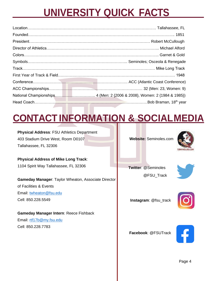## **UNIVERSITY QUICK FACTS**

### **CONTACT INFORMATION & SOCIALMEDIA**

**Physical Address**: FSU Athletics Department 403 Stadium Drive West, Room D0107 Tallahassee, FL 32306

**Physical Address of Mike Long Track**:

1104 Spirit Way Tallahassee, FL 32306

**Gameday Manager**: Taylor Wheaton, Associate Director of Facilities & Events Email: [twheaton@fsu.edu](mailto:twheaton@fsu.edu) Cell: 850.228.5549

**Gameday Manager Intern**: Reece Fishback Email: [rtf17b@my.fsu.edu](mailto:rtf17b@my.fsu.edu) Cell: 850.228.7783

 **Website:** Seminoles.com



 **Twitter**: @Seminoles @FSU\_Track



**Instagram**: @fsu\_track



**Facebook**: @FSUTrack

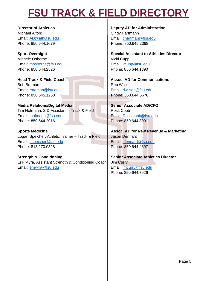### **FSU TRACK & FIELD DIRECTORY**

Michael Alford **Cindy Hartmann** Phone: 850.644.1079 **Phone: 850.645.2368** 

Michele Osborne **Vicki Cupp** Email: [mosborne@fsu.edu](mailto:mosborne@fsu.edu) Email: [vcupp@fsu.edu](mailto:vcupp@fsu.edu) Phone: 850.644.2526 **Phone: 850.644.1890** 

Email: [rbraman@fsu.edu](mailto:rbraman@fsu.edu) **Email: [rlwilson@fsu.edu](mailto:rlwilson@fsu.edu)** Email: rlwilson@fsu.edu Phone: 850.645.1250 Phone: 850.644.5678

**Media Relations/Digital Media Network of Senior Associate AD/CFO** Tim Hofmann, SID Assistant – Track & Field  $\blacksquare$  Ross Cobb Email: [thofmann@fsu.edu](mailto:thofmann@fsu.edu) Email: [Ross.cobb@fsu.edu](mailto:Ross.cobb@fsu.edu) Phone: 850.644.2016 **Phone: 850.644.8091** 

**Sports Medicine Assoc. AD for New Revenue & Marketing** Logan Speicher, Athletic Trainer – Track & Field Jason Dennard Email: [Lspeicher@fsu.edu](mailto:Lspeicher@fsu.edu) **Email: Email: idennard@fsu.edu** Phone: 813.270.0328 **Phone: 850.644.4397** 

**Strength & Conditioning Senior Associate Athletics Director** Erik Myra, Assistant Strength & Conditioning Coach Jim Curry Email: [emyyra@fsu.edu](mailto:emyyra@fsu.edu) entertainment and Email: jmcurry@fsu.edu

**Director of Athletics Director of Athletics Deputy AD for Administration** Email: [AD@athl.fsu.edu](mailto:AD@athl.fsu.edu) **Email: [chartman@fsu.edu](mailto:chartman@fsu.edu)** 

**Sport Oversight Special Assistant to Athletics Director** 

**Head Track & Field Coach Assoc. AD for Communications** Bob Braman Rob Wilson Rob Wilson

Phone: 850.644.7926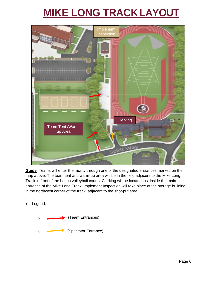### **MIKE LONG TRACKLAYOUT**



**Guide**: Teams will enter the facility through one of the designated entrances marked on the map above. The team tent and warm-up area will be in the field adjacent to the Mike Long Track in front of the beach volleyball courts. Clerking will be located just inside the main entrance of the Mike Long Track. Implement Inspection will take place at the storage building in the northwest corner of the track, adjacent to the shot-put area.

Legend:

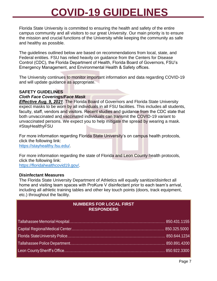### **COVID-19 GUIDELINES**

Florida State University is committed to ensuring the health and safety of the entire campus community and all visitors to our great University. Our main priority is to ensure the mission and crucial functions of the University while keeping the community as safe and healthy as possible.

The guidelines outlined below are based on recommendations from local, state, and Federal entities. FSU has relied heavily on guidance from the Centers for Disease Control (CDC), the Florida Department of Health, Florida Board of Governors, FSU's Emergency Management, and Environmental Health & Safety offices.

The University continues to monitor important information and data regarding COVID-19 and will update guidance as appropriate.

#### **SAFETY GUIDELINES**

#### *Cloth Face Coverings/Face Mask*

*Effective Aug. 9, 2021*: The Florida Board of Governors and Florida State University expect masks to be worn by all individuals in all FSU facilities. This includes all students, faculty, staff, vendors and visitors. Recent studies and guidance from the CDC state that both unvaccinated and vaccinated individuals can transmit the COVID-19 variant to unvaccinated persons. We expect you to help mitigate the spread by wearing a mask. #StayHealthyFSU

For more information regarding Florida State University's on campus health protocols, click the following link: [https://stayhealthy.fsu.edu/.](https://stayhealthy.fsu.edu/)

For more information regarding the state of Florida and Leon County health protocols, click the following link: [https://floridahealthcovid19.gov/.](https://floridahealthcovid19.gov/)

#### **Disinfectant Measures**

The Florida State University Department of Athletics will equally sanitize/disinfect all home and visiting team spaces with ProKure V disinfectant prior to each team's arrival, including all athletic training tables and other key touch points (doors, track equipment, etc.) throughout the facility.

#### **NUMBERS FOR LOCAL FIRST RESPONDERS**

| 850.431.1155 |
|--------------|
| 850.325.5000 |
| 850.644.1234 |
| 850.891.4200 |
| 850.922.3300 |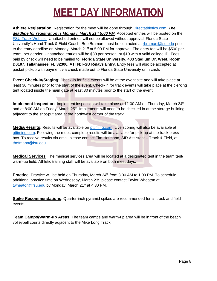### **MEET DAY INFORMATION**

**Athlete Registration**: Registration for the meet will be done through [Directathletics.com.](https://www.directathletics.com/) *The deadline for registration is Monday, March 21st 5:00 PM*. Accepted entries will be posted on the [FSU Track Website.](https://seminoles.com/fsu-relays/) Unattached entries will not be allowed without approval. Florida State University's Head Track & Field Coach, Bob Braman, must be contacted at [rbraman@fsu.edu](mailto:rbraman@fsu.edu) prior to the entry deadline on Monday, March 21<sup>st</sup> at 5:00 PM for approval. The entry fee will be \$500 per team, per gender. Unattached entries will be \$30 per person, or \$10 with a valid college ID. Fees paid by check will need to be mailed to; **Florida State University, 403 Stadium Dr. West, Room D0107, Tallahassee, FL 32306, ATTN: FSU Relays Entry**. Entry fees will also be accepted at packet pickup with payment via check made out to Florida State University or in cash.

**Event Check-In/Staging**: Check-in for field events will be at the event site and will take place at least 30 minutes prior to the start of the event. Check-in for track events will take place at the clerking tent located inside the main gate at least 30 minutes prior to the start of the event.

**Implement Inspection**: Implement inspection will take place at 11:00 AM on Thursday, March 24<sup>th</sup> and at 8:00 AM on Friday, March 25<sup>th</sup>. Implements will need to be checked in at the storage building adjacent to the shot-put area at the northwest corner of the track.

**Media/Results**: Results will be available on [pttiming.com.](https://pttiming.com/) Live scoring will also be available at [pttiming.com.](https://pttiming.com/) Following the meet, complete results will be available for pick-up at the track press box. To receive results via email please contact Tim Hofmann, SID Assistant – Track & Field, at [thofmann@fsu.edu.](mailto:thofmann@fsu.edu)

**Medical Services**: The medical services area will be located at a designated tent in the team tent/ warm-up field. Athletic training staff will be available on both meet days.

**Practice**: Practice will be held on Thursday, March 24<sup>th</sup> from 8:00 AM to 1:00 PM. To schedule additional practice time on Wednesday, March 23<sup>rd</sup> please contact Taylor Wheaton at [twheaton@fsu.edu](mailto:twheaton@fsu.edu) by Monday, March 21<sup>st</sup> at 4:30 PM.

**Spike Recommendations**: Quarter-inch pyramid spikes are recommended for all track and field events.

**Team Camps/Warm-up Areas**: The team camps and warm-up area will be in front of the beach volleyball courts directly adjacent to the Mike Long Track.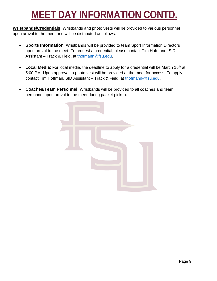### **MEET DAY INFORMATION CONT**

**Wristbands/Credentials**: Wristbands and photo vests will be provided to various personnel upon arrival to the meet and will be distributed as follows:

- **Sports Information**: Wristbands will be provided to team Sport Information Directors upon arrival to the meet. To request a credential, please contact Tim Hofmann, SID Assistant – Track & Field, at [thofmann@fsu.edu.](mailto:thofmann@fsu.edu)
- Local Media: For local media, the deadline to apply for a credential will be March 15<sup>th</sup> at 5:00 PM. Upon approval, a photo vest will be provided at the meet for access. To apply, contact Tim Hoffman, SID Assistant – Track & Field, at [thofmann@fsu.edu.](mailto:thofmann@fsu.edu)
- **Coaches/Team Personnel**: Wristbands will be provided to all coaches and team personnel upon arrival to the meet during packet pickup.

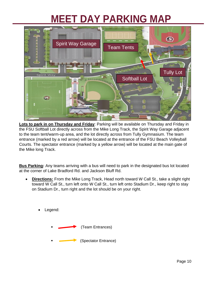### **MEET DAY PARKING MAP**



**Lots to park in on Thursday and Friday**: Parking will be available on Thursday and Friday in the FSU Softball Lot directly across from the Mike Long Track, the Spirit Way Garage adjacent to the team tent/warm-up area, and the lot directly across from Tully Gymnasium. The team entrance (marked by a red arrow) will be located at the entrance of the FSU Beach Volleyball Courts. The spectator entrance (marked by a yellow arrow) will be located at the main gate of the Mike long Track.

**Bus Parking:** Any teams arriving with a bus will need to park in the designated bus lot located at the corner of Lake Bradford Rd. and Jackson Bluff Rd.

- **Directions:** From the Mike Long Track, Head north toward W Call St., take a slight right toward W Call St., turn left onto W Call St., turn left onto Stadium Dr., keep right to stay on Stadium Dr., turn right and the lot should be on your right.
	- Legend:



(Spectator Entrance)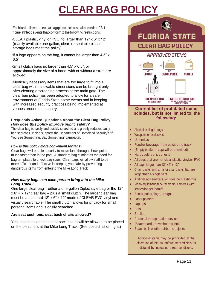## **CLEAR BAG POLICY**

Eachfanisallowedoneclearbag(plusclutchorsmallpurse)intoFSU home athletic events that conform to the following restrictions:

- •CLEAR plastic, vinyl or PVC no larger than 12" x 6" x 12" (readily available one-gallon, clear, re-sealable plastic storage bags meet the policy)
- •If a logo appears on the bag, it cannot be larger than 4.5" x 6.5"
- •Small clutch bags no larger than 4.5" x 6.5", or approximately the size of a hand, with or without a strap are allowed.
- •Medically necessary items that are too large to fit into a clear bag within allowable dimensions can be brought only after clearing a screening process at the main gate. The clear bag policy has been adopted to allow for a safer environment at Florida State home events and in keeping with increased security practices being implemented at venues around the country.

### **Frequently Asked Questions About the Clear Bag Policy**

#### *How does this policy improve public safety?*

The clear bag is easily and quickly searched and greatly reduces faulty bag searches. It also supports the Department of Homeland Security's"If You See Something. Say Something" campaign.

#### *How is this policy more convenient for fans?*

Clear bags will enable security to move fans through check points much faster than in the past. A standard bag eliminates the need for bag templates to check bag sizes. Clear bags will allow staff to be more efficient and effective in keeping you safe by preventing dangerous items from entering the Mike Long Track.

#### *How many bags can each person bring into the Mike Long Track?*

One large clear bag – either a one-gallon Ziploc style bag or the 12"  $x 6" = x 12"$  clear bag – plus a small clutch. The larger clear bag must be a standard 12" x 6" x 12" made of CLEAR PVC vinyl and visually searchable. The small clutch allows for privacy for small personal items and is easily searched.

#### **Are seat cushions, seat back chairs allowed?**

Yes, seat cushions and seat back chairs will be allowed to be placed on the bleachers at the Mike Long Track. (See posted list on right.)



### **includes, but is not limited to, the following:**

- Alcohol or illegal drugs
- Weapons or explosives
- **Umbrellas**
- Food or beverage from outside the track
- (Empty bottles or cups will be permitted)
- Hard coolers or ice chests
- All bags that are not clear plastic, vinyl,or PVC
- All bags larger than  $12" \times 6" \times 12"$
- Chair backs with arms or chairbacks that are larger than a single seat
- Artificial noisemakers (whistles, bells, airhorns)
- Video equipment, tape recorders, cameras with lenses longer than 6"
- Sticks, poles, flags, or signs
- Laser pointers
- **Laptops**
- **Pets**
- **Strollers**
- Personal transportation devices
- (Skateboards, hover boards, etc.)
- Beach balls or other airborne objects

Additional items may be prohibited at the discretion of the law enforcement officials as dictated by increased threat conditions.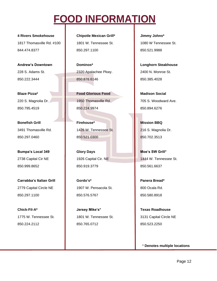### **FOOD INFORMATION**

1817 Thomasville Rd. #100 | 1801 W. Tennessee St. 1080 W Tennessee St. 844.474.8377 850.297.1100 850.297.1100

**Carrabba's Italian Grill Gordo's\* Panera Bread\***  2779 Capital Circle NE 1907 W. Pensacola St. 800 Ocala Rd. 850.297.1100 **850.576.5767** 850.5767 850.8918

1775 W. Tennessee St. 1801 W. Tennessee St. 3131 Capital Circle NE 850.224.2112 850.765.0712 850.765.0712

**4 Rivers Smokehouse Chipotle Mexican Grill\* Jimmy Johns\*** 

228 S. Adams St. 2320 Apalachee Pkwy. 2400 N. Monroe St. 850.222.3444 850.878.6146 850.385.4028

**Blaze Pizza\* Food Glorious Food Madison Social**  220 S. Magnolia Dr. 1950 Thomasville Rd. 705 S. Woodward Ave. 850.795.4519 850.224.9974 850.224.9974 850.894.6276

**Bonefish Grill Contract Contract Contract Contract Contract Contract Contract Contract Contract Contract Contract Contract Contract Contract Contract Contract Contract Contract Contract Contract Contract Contract Contra** 3491 Thomasville Rd. 1426 W. Tennessee St. 216 S. Magnolia Dr. 850.297.0460 850.521.0300 850.702.3513

**Bumpa's Local 349 Glory Days Grill All Compatible Moet SW Grill\*** 850.999.8652 **850.919.3779** 850.919.3779

**Chick-Fil-A\* Jersey Mike's\* Texas Roadhouse** 

**Andrew's Downtown <b>Letter Steakhouse Dominos\* Longhorn Steakhouse Longhorn Steakhouse** 

2738 Capital Cir NE 1926 Capital Cir. NE 1444 W. Tennessee St.

\* **Denotes multiple locations**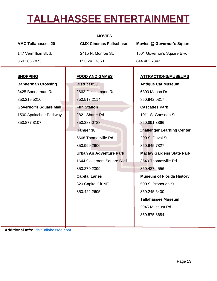### **TALLAHASSEE ENTERTAINMENT**

| <b>MOVIES</b>                 |                                 |                                   |  |  |  |
|-------------------------------|---------------------------------|-----------------------------------|--|--|--|
| <b>AMC Tallahassee 20</b>     | <b>CMX Cinemas Fallschase</b>   | Movies @ Governor's Square        |  |  |  |
| 147 Vermillion Blvd.          | 2415 N. Monroe St.              | 1501 Governor's Square Blvd.      |  |  |  |
| 850.386.7873                  | 850.241.7860                    | 844.462.7342                      |  |  |  |
| <b>SHOPPING</b>               | <b>FOOD AND GAMES</b>           | <b>ATTRACTIONS/MUSEUMS</b>        |  |  |  |
| <b>Bannerman Crossing</b>     | <b>District 850</b>             | <b>Antique Car Museum</b>         |  |  |  |
| 3425 Bannerman Rd             | 2662 Fleischmann Rd.            | 6800 Mahan Dr.                    |  |  |  |
| 850.219.5210                  | 850.513.2114                    | 850.942.0317                      |  |  |  |
| <b>Governor's Square Mall</b> | <b>Fun Station</b>              | <b>Cascades Park</b>              |  |  |  |
| 1500 Apalachee Parkway        | 2821 Sharer Rd.                 | 1011 S. Gadsden St.               |  |  |  |
| 850.877.8107                  | 850.383.0788                    | 850.891.3866                      |  |  |  |
|                               | Hanger 38                       | <b>Challenger Learning Center</b> |  |  |  |
|                               | 6668 Thomasville Rd.            | 200 S. Duval St.                  |  |  |  |
|                               | 850.999.2606                    | 850.645.7827                      |  |  |  |
|                               | <b>Urban Air Adventure Park</b> | <b>Maclay Gardens State Park</b>  |  |  |  |
|                               | 1644 Governors Square Blvd.     | 3540 Thomasville Rd.              |  |  |  |
|                               | 850.270.2399                    | 850.487.4556                      |  |  |  |
|                               | <b>Capital Lanes</b>            | <b>Museum of Florida History</b>  |  |  |  |
|                               | 820 Capital Cir NE              | 500 S. Bronough St.               |  |  |  |
|                               | 850.422.2695                    | 850.245.6400                      |  |  |  |
|                               |                                 | <b>Tallahassee Museum</b>         |  |  |  |
|                               |                                 | 3945 Museum Rd.                   |  |  |  |
|                               |                                 | 850.575.8684                      |  |  |  |
|                               |                                 |                                   |  |  |  |

**Additional Info: [VisitTallahassee.com](https://visittallahassee.com/)**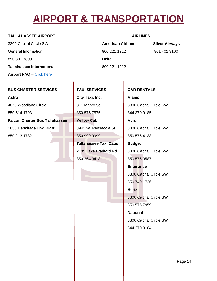## **AIRPORT & TRANSPORTATION**

#### **TALLAHASSEE AIRPORT AIRLINES**

3300 Capital Circle SW **American Airlines Sliver Airways** General Information: 800.221.1212 801.401.9100 850.891.7800 **Delta Tallahassee International** 800.221.1212 **Airport FAQ** – [Click here](https://www.talgov.com/airport/airport.aspx)

#### **BUS CHARTER SERVICES TAXI SERVICES CAR RENTALS**

**Astro City Taxi, Inc. Alamo** 4876 Woodlane Circle **811 Mabry St. 3300 Capital Circle SW** 850.514.1793 850.575.7575 844.370.9185 **Falcon Charter Bus Tallahassee Yellow Cab Avis** 1836 Hermitage Blvd. #200 3941 W. Pensacola St. | 3300 Capital Circle SW 850.213.1782 **850.999.9999 850.576.4133** 

**Tallahassee Taxi Cabs | Budget** 

2105 Lake Bradford Rd. 3300 Capital Circle SW 850.264.3418 850.576.0587 **Enterprise** 3300 Capital Circle SW 850.740.1726 **Hertz** 3300 Capital Circle SW 850.575.7959 **National** 3300 Capital Circle SW 844.370.9184

Page 14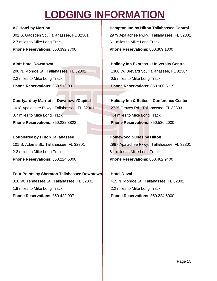### **LODGING INFORMATION**

2.7 miles to Mike Long Track **6.1** 6.1 miles to Mike Long Track **Phone Reservations**: 850.392.7700 **Phone Reservations**: 850.309.1300

2.2 miles to Mike Long Track **0.5 miles to Mike Long Track Phone Reservations**: 850.513.0313 **Phone Reservations**: 850.900.5115

**Courtyard by Marriott – Downtown/Capital Holiday Inn & Suites – Conference Center** 1018 Apalachee Pkwy., Tallahassee, FL 32301 2725 Graves Rd., Tallahassee, FL 32303 3.7 miles to Mike Long Track **4.4** miles to Mike Long Track **Phone Reservations**: 850.222.8822 **Phone Reservations**: 850.536.2000

**Doubletree by Hilton Tallahassee Monday Homewood Suites by Hilton** 2.2 miles to Mike Long Track **6.1 miles to Mike Long Track Phone Reservations**: 850.224.5000 **Phone Reservations**: 850.402.9400

**Four Points by Sheraton Tallahassee Downtown** Hotel Duval 316 W. Tennessee St., Tallahassee, FL 32301 415 N. Monroe St., Tallahassee, FL 32301 1.9 miles to Mike Long Track 2.2 miles to Mike Long Track **Phone Reservations**: 850.422.0071 **Phone Reservations**: 850.224.6000

**AC Hotel by Marriott Hampton Inn by Hilton Tallahassee Central** 801 S. Gadsden St., Tallahassee, FL 32301 2979 Apalachee Pwky., Tallahassee, FL 32301

**Aloft Hotel Downtown Holiday Inn Express – University Central**  200 N. Monroe St., Tallahassee, FL 32301 1308 W. Brevard St., Tallahassee, FL 32304

101 S. Adams St., Tallahassee, FL 32301 2987 Apalachee Pkwy., Tallahassee, FL 32301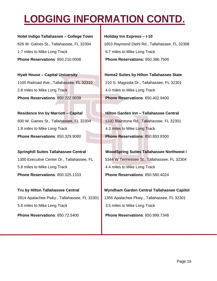## **LODGING INFORMATION CONTD.**

**Hotel Indigo Tallahassee – College Town | Holiday Inn Express – I-10** 1.7 miles to Mike Long Track **6.7 miles to Mike Long Track Phone Reservations**: 850.210.0008 **Phone Reservations:** 850.386.7500

2.8 miles to Mike Long Track 4.0 miles to Mike Long Track **Phone Reservations**: 850.222.0039 **Phone Reservations**: 850.402.9400

1.8 miles to Mike Long Track **4.3 miles to Mike Long Track Phone Reservations**: 850.329.9080 **Phone Reservations**: 850.893.8300

5.8 miles to Mike Long Track **4.4** miles to Mike Long Track **Phone Reservations**: 850.325.1103 **Phone Reservations**: 850.580.4024

2814 Apalachee Pwky., Tallahassee, FL 32301 1355 Apalachee Pkwy., Tallahassee, FL 32301 5.6 miles to Mike Long Track 3.5 miles to Mike Long Track

826 W. Gaines St., Tallahassee, FL 32304 1653 Raymond Diehl Rd., Tallahassee, FL 32308

**Hyatt House – Capital University Home2 Suites by Hilton Tallahassee State** 1100 Railroad Ave., Tallahassee, FL 32310 210 S. Magnolia Dr., Tallahassee, FL 32301

**Residence Inn by Marriott – Capital Hilton Garden Inn – Tallahassee Central <b>Residence** Inn 600 W. Gaines St., Tallahassee, FL 32304 1330 Blairstone Rd., Tallahassee, FL 32301

**Springhill Suites Tallahassee Central WoodSpring Suites Tallahassee Northwest \** 1300 Executive Center Dr., Tallahassee, FL **65344 W Tennessee St., Tallahassee, FL 32304** 

**Tru by Hilton Tallahassee Central Wyndham Garden Central Tallahassee Capitol**

**Phone Reservations**: 850.72.5400 **Phone Reservations**: 850.999.7348